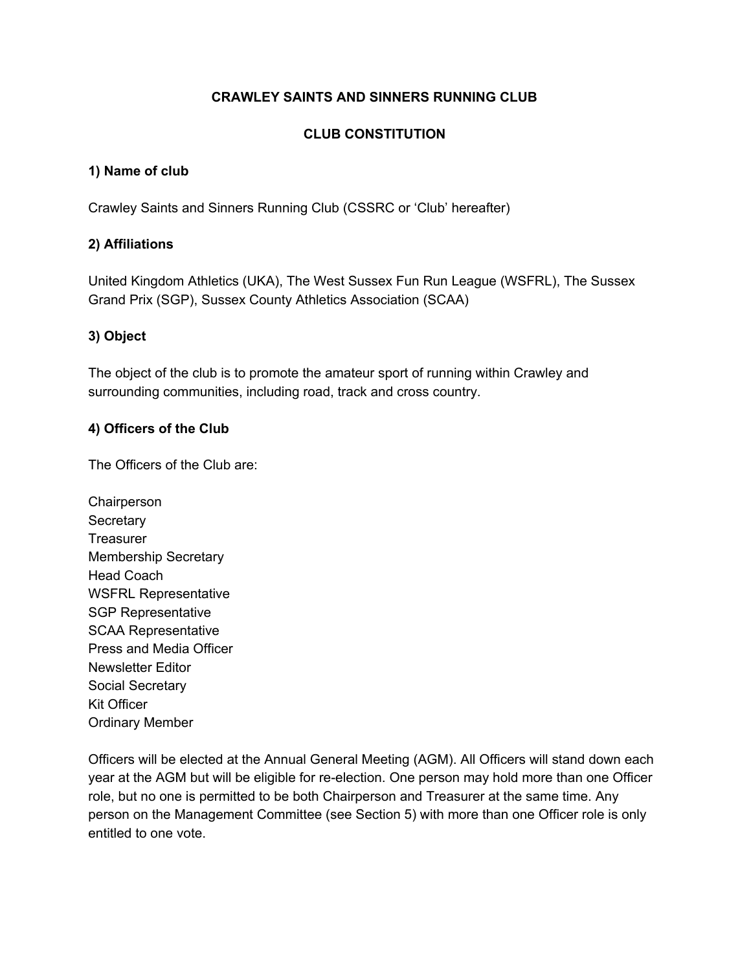### **CRAWLEY SAINTS AND SINNERS RUNNING CLUB**

### **CLUB CONSTITUTION**

#### **1) Name of club**

Crawley Saints and Sinners Running Club (CSSRC or 'Club' hereafter)

#### **2) Affiliations**

United Kingdom Athletics (UKA), The West Sussex Fun Run League (WSFRL), The Sussex Grand Prix (SGP), Sussex County Athletics Association (SCAA)

#### **3) Object**

The object of the club is to promote the amateur sport of running within Crawley and surrounding communities, including road, track and cross country.

#### **4) Officers of the Club**

The Officers of the Club are:

**Chairperson Secretary Treasurer** Membership Secretary Head Coach WSFRL Representative SGP Representative SCAA Representative Press and Media Officer Newsletter Editor Social Secretary Kit Officer Ordinary Member

Officers will be elected at the Annual General Meeting (AGM). All Officers will stand down each year at the AGM but will be eligible for re-election. One person may hold more than one Officer role, but no one is permitted to be both Chairperson and Treasurer at the same time. Any person on the Management Committee (see Section 5) with more than one Officer role is only entitled to one vote.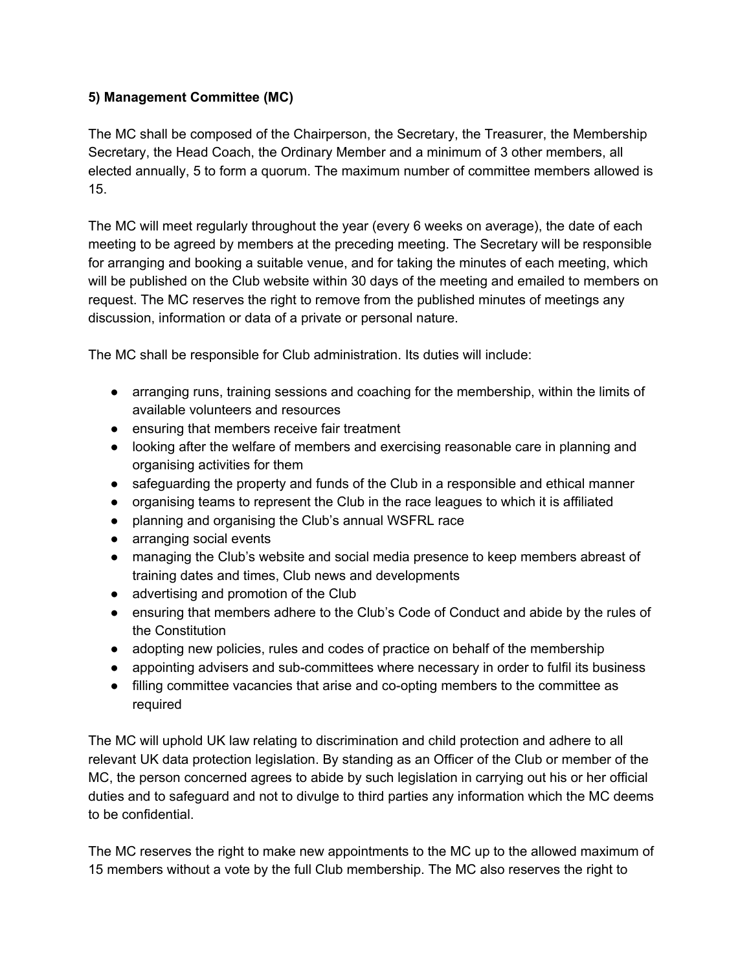# **5) Management Committee (MC)**

The MC shall be composed of the Chairperson, the Secretary, the Treasurer, the Membership Secretary, the Head Coach, the Ordinary Member and a minimum of 3 other members, all elected annually, 5 to form a quorum. The maximum number of committee members allowed is 15.

The MC will meet regularly throughout the year (every 6 weeks on average), the date of each meeting to be agreed by members at the preceding meeting. The Secretary will be responsible for arranging and booking a suitable venue, and for taking the minutes of each meeting, which will be published on the Club website within 30 days of the meeting and emailed to members on request. The MC reserves the right to remove from the published minutes of meetings any discussion, information or data of a private or personal nature.

The MC shall be responsible for Club administration. Its duties will include:

- arranging runs, training sessions and coaching for the membership, within the limits of available volunteers and resources
- ensuring that members receive fair treatment
- looking after the welfare of members and exercising reasonable care in planning and organising activities for them
- safeguarding the property and funds of the Club in a responsible and ethical manner
- organising teams to represent the Club in the race leagues to which it is affiliated
- planning and organising the Club's annual WSFRL race
- arranging social events
- managing the Club's website and social media presence to keep members abreast of training dates and times, Club news and developments
- advertising and promotion of the Club
- ensuring that members adhere to the Club's Code of Conduct and abide by the rules of the Constitution
- adopting new policies, rules and codes of practice on behalf of the membership
- appointing advisers and sub-committees where necessary in order to fulfil its business
- filling committee vacancies that arise and co-opting members to the committee as required

The MC will uphold UK law relating to discrimination and child protection and adhere to all relevant UK data protection legislation. By standing as an Officer of the Club or member of the MC, the person concerned agrees to abide by such legislation in carrying out his or her official duties and to safeguard and not to divulge to third parties any information which the MC deems to be confidential.

The MC reserves the right to make new appointments to the MC up to the allowed maximum of 15 members without a vote by the full Club membership. The MC also reserves the right to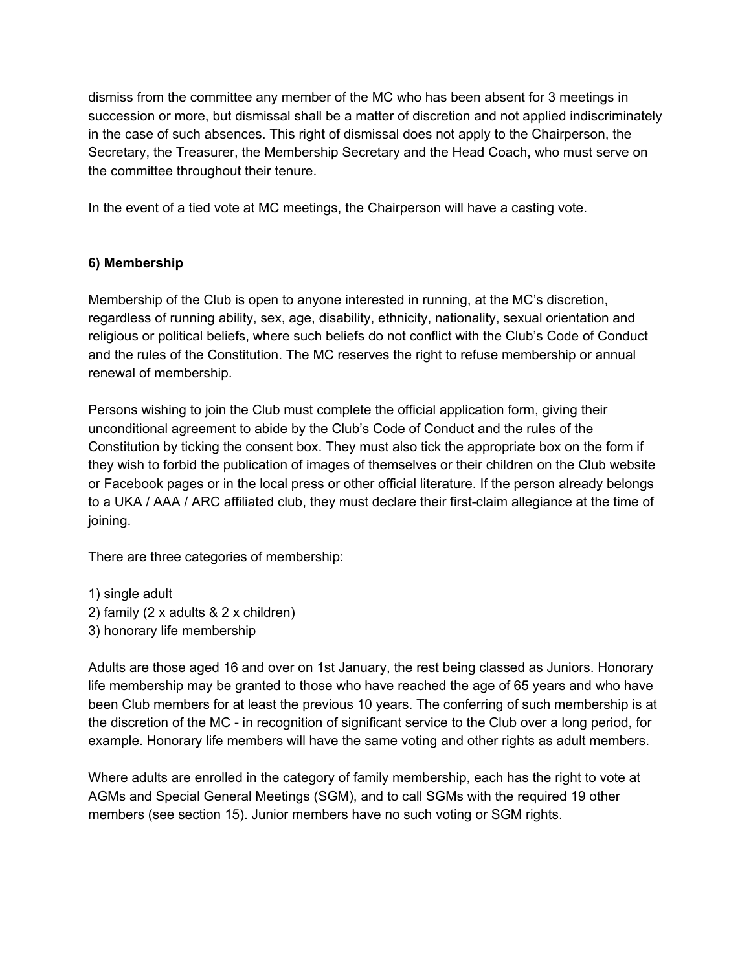dismiss from the committee any member of the MC who has been absent for 3 meetings in succession or more, but dismissal shall be a matter of discretion and not applied indiscriminately in the case of such absences. This right of dismissal does not apply to the Chairperson, the Secretary, the Treasurer, the Membership Secretary and the Head Coach, who must serve on the committee throughout their tenure.

In the event of a tied vote at MC meetings, the Chairperson will have a casting vote.

# **6) Membership**

Membership of the Club is open to anyone interested in running, at the MC's discretion, regardless of running ability, sex, age, disability, ethnicity, nationality, sexual orientation and religious or political beliefs, where such beliefs do not conflict with the Club's Code of Conduct and the rules of the Constitution. The MC reserves the right to refuse membership or annual renewal of membership.

Persons wishing to join the Club must complete the official application form, giving their unconditional agreement to abide by the Club's Code of Conduct and the rules of the Constitution by ticking the consent box. They must also tick the appropriate box on the form if they wish to forbid the publication of images of themselves or their children on the Club website or Facebook pages or in the local press or other official literature. If the person already belongs to a UKA / AAA / ARC affiliated club, they must declare their first-claim allegiance at the time of joining.

There are three categories of membership:

1) single adult 2) family (2 x adults & 2 x children) 3) honorary life membership

Adults are those aged 16 and over on 1st January, the rest being classed as Juniors. Honorary life membership may be granted to those who have reached the age of 65 years and who have been Club members for at least the previous 10 years. The conferring of such membership is at the discretion of the MC - in recognition of significant service to the Club over a long period, for example. Honorary life members will have the same voting and other rights as adult members.

Where adults are enrolled in the category of family membership, each has the right to vote at AGMs and Special General Meetings (SGM), and to call SGMs with the required 19 other members (see section 15). Junior members have no such voting or SGM rights.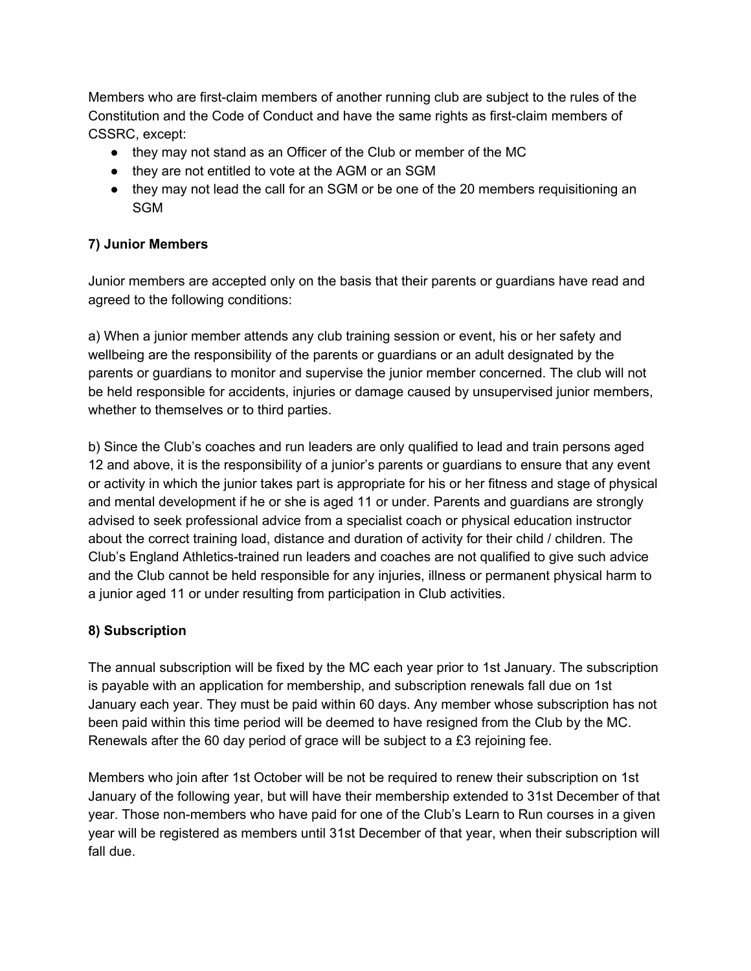Members who are first-claim members of another running club are subject to the rules of the Constitution and the Code of Conduct and have the same rights as first-claim members of CSSRC, except:

- they may not stand as an Officer of the Club or member of the MC
- they are not entitled to vote at the AGM or an SGM
- they may not lead the call for an SGM or be one of the 20 members requisitioning an SGM

## **7) Junior Members**

Junior members are accepted only on the basis that their parents or guardians have read and agreed to the following conditions:

a) When a junior member attends any club training session or event, his or her safety and wellbeing are the responsibility of the parents or guardians or an adult designated by the parents or guardians to monitor and supervise the junior member concerned. The club will not be held responsible for accidents, injuries or damage caused by unsupervised junior members, whether to themselves or to third parties.

b) Since the Club's coaches and run leaders are only qualified to lead and train persons aged 12 and above, it is the responsibility of a junior's parents or guardians to ensure that any event or activity in which the junior takes part is appropriate for his or her fitness and stage of physical and mental development if he or she is aged 11 or under. Parents and guardians are strongly advised to seek professional advice from a specialist coach or physical education instructor about the correct training load, distance and duration of activity for their child / children. The Club's England Athletics-trained run leaders and coaches are not qualified to give such advice and the Club cannot be held responsible for any injuries, illness or permanent physical harm to a junior aged 11 or under resulting from participation in Club activities.

# **8) Subscription**

The annual subscription will be fixed by the MC each year prior to 1st January. The subscription is payable with an application for membership, and subscription renewals fall due on 1st January each year. They must be paid within 60 days. Any member whose subscription has not been paid within this time period will be deemed to have resigned from the Club by the MC. Renewals after the 60 day period of grace will be subject to a £3 rejoining fee.

Members who join after 1st October will be not be required to renew their subscription on 1st January of the following year, but will have their membership extended to 31st December of that year. Those non-members who have paid for one of the Club's Learn to Run courses in a given year will be registered as members until 31st December of that year, when their subscription will fall due.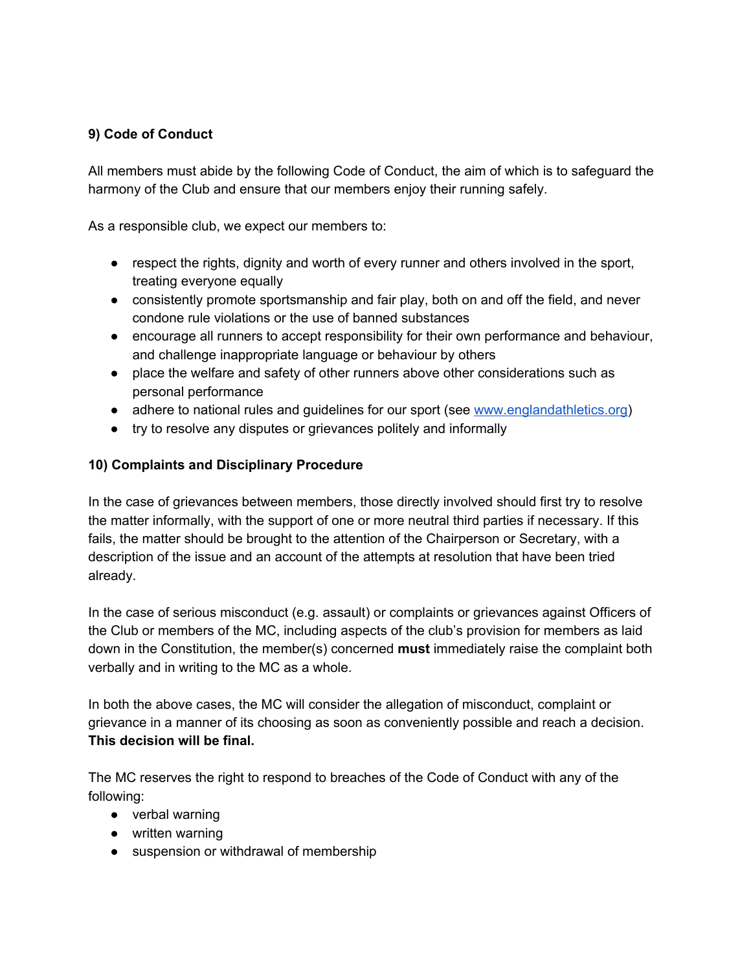## **9) Code of Conduct**

All members must abide by the following Code of Conduct, the aim of which is to safeguard the harmony of the Club and ensure that our members enjoy their running safely.

As a responsible club, we expect our members to:

- respect the rights, dignity and worth of every runner and others involved in the sport, treating everyone equally
- consistently promote sportsmanship and fair play, both on and off the field, and never condone rule violations or the use of banned substances
- encourage all runners to accept responsibility for their own performance and behaviour, and challenge inappropriate language or behaviour by others
- place the welfare and safety of other runners above other considerations such as personal performance
- adh[e](http://www.englandathletics.org/)re to national rules and quidelines for our sport (see [www.englandathletics.org\)](http://www.englandathletics.org/)
- try to resolve any disputes or grievances politely and informally

## **10) Complaints and Disciplinary Procedure**

In the case of grievances between members, those directly involved should first try to resolve the matter informally, with the support of one or more neutral third parties if necessary. If this fails, the matter should be brought to the attention of the Chairperson or Secretary, with a description of the issue and an account of the attempts at resolution that have been tried already.

In the case of serious misconduct (e.g. assault) or complaints or grievances against Officers of the Club or members of the MC, including aspects of the club's provision for members as laid down in the Constitution, the member(s) concerned **must** immediately raise the complaint both verbally and in writing to the MC as a whole.

In both the above cases, the MC will consider the allegation of misconduct, complaint or grievance in a manner of its choosing as soon as conveniently possible and reach a decision. **This decision will be final.**

The MC reserves the right to respond to breaches of the Code of Conduct with any of the following:

- verbal warning
- written warning
- suspension or withdrawal of membership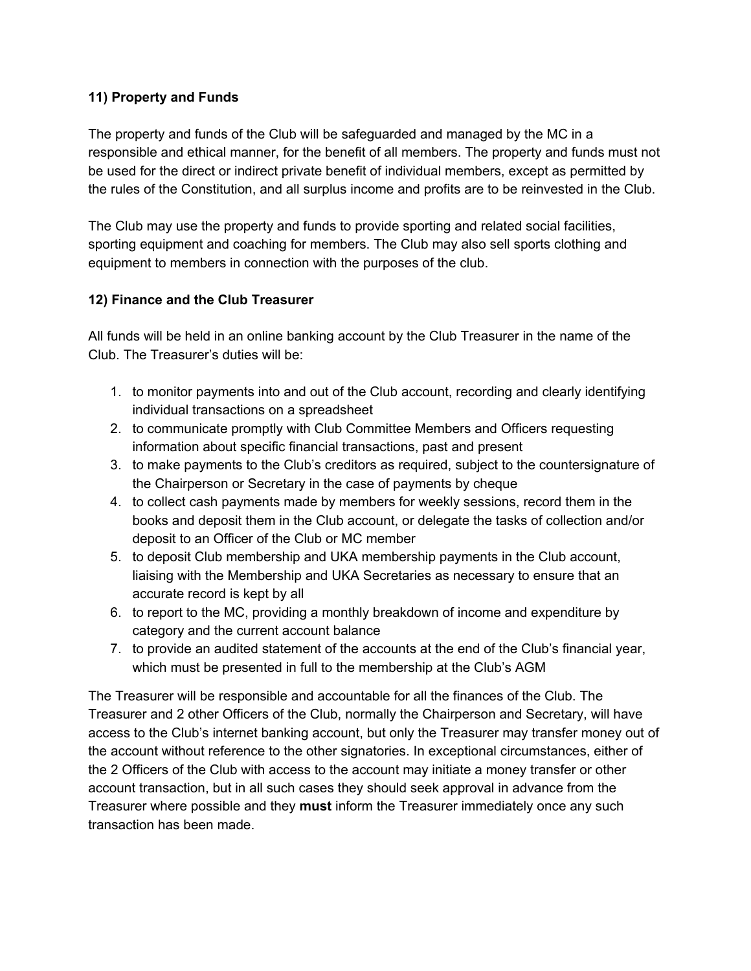## **11) Property and Funds**

The property and funds of the Club will be safeguarded and managed by the MC in a responsible and ethical manner, for the benefit of all members. The property and funds must not be used for the direct or indirect private benefit of individual members, except as permitted by the rules of the Constitution, and all surplus income and profits are to be reinvested in the Club.

The Club may use the property and funds to provide sporting and related social facilities, sporting equipment and coaching for members. The Club may also sell sports clothing and equipment to members in connection with the purposes of the club.

# **12) Finance and the Club Treasurer**

All funds will be held in an online banking account by the Club Treasurer in the name of the Club. The Treasurer's duties will be:

- 1. to monitor payments into and out of the Club account, recording and clearly identifying individual transactions on a spreadsheet
- 2. to communicate promptly with Club Committee Members and Officers requesting information about specific financial transactions, past and present
- 3. to make payments to the Club's creditors as required, subject to the countersignature of the Chairperson or Secretary in the case of payments by cheque
- 4. to collect cash payments made by members for weekly sessions, record them in the books and deposit them in the Club account, or delegate the tasks of collection and/or deposit to an Officer of the Club or MC member
- 5. to deposit Club membership and UKA membership payments in the Club account, liaising with the Membership and UKA Secretaries as necessary to ensure that an accurate record is kept by all
- 6. to report to the MC, providing a monthly breakdown of income and expenditure by category and the current account balance
- 7. to provide an audited statement of the accounts at the end of the Club's financial year, which must be presented in full to the membership at the Club's AGM

The Treasurer will be responsible and accountable for all the finances of the Club. The Treasurer and 2 other Officers of the Club, normally the Chairperson and Secretary, will have access to the Club's internet banking account, but only the Treasurer may transfer money out of the account without reference to the other signatories. In exceptional circumstances, either of the 2 Officers of the Club with access to the account may initiate a money transfer or other account transaction, but in all such cases they should seek approval in advance from the Treasurer where possible and they **must** inform the Treasurer immediately once any such transaction has been made.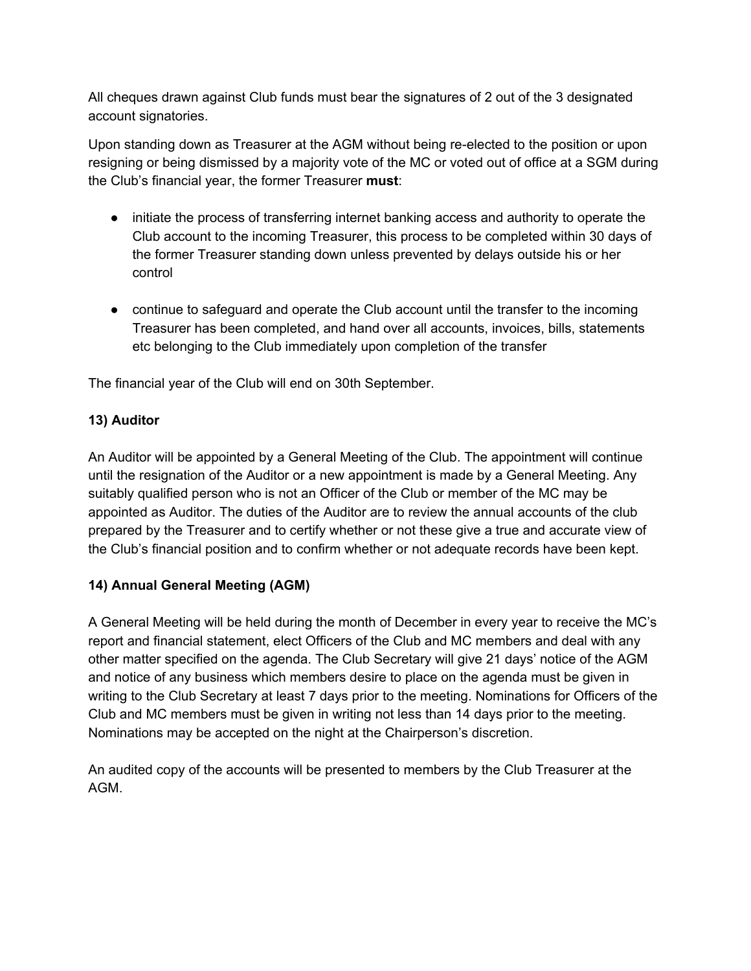All cheques drawn against Club funds must bear the signatures of 2 out of the 3 designated account signatories.

Upon standing down as Treasurer at the AGM without being re-elected to the position or upon resigning or being dismissed by a majority vote of the MC or voted out of office at a SGM during the Club's financial year, the former Treasurer **must**:

- initiate the process of transferring internet banking access and authority to operate the Club account to the incoming Treasurer, this process to be completed within 30 days of the former Treasurer standing down unless prevented by delays outside his or her control
- continue to safeguard and operate the Club account until the transfer to the incoming Treasurer has been completed, and hand over all accounts, invoices, bills, statements etc belonging to the Club immediately upon completion of the transfer

The financial year of the Club will end on 30th September.

# **13) Auditor**

An Auditor will be appointed by a General Meeting of the Club. The appointment will continue until the resignation of the Auditor or a new appointment is made by a General Meeting. Any suitably qualified person who is not an Officer of the Club or member of the MC may be appointed as Auditor. The duties of the Auditor are to review the annual accounts of the club prepared by the Treasurer and to certify whether or not these give a true and accurate view of the Club's financial position and to confirm whether or not adequate records have been kept.

## **14) Annual General Meeting (AGM)**

A General Meeting will be held during the month of December in every year to receive the MC's report and financial statement, elect Officers of the Club and MC members and deal with any other matter specified on the agenda. The Club Secretary will give 21 days' notice of the AGM and notice of any business which members desire to place on the agenda must be given in writing to the Club Secretary at least 7 days prior to the meeting. Nominations for Officers of the Club and MC members must be given in writing not less than 14 days prior to the meeting. Nominations may be accepted on the night at the Chairperson's discretion.

An audited copy of the accounts will be presented to members by the Club Treasurer at the AGM.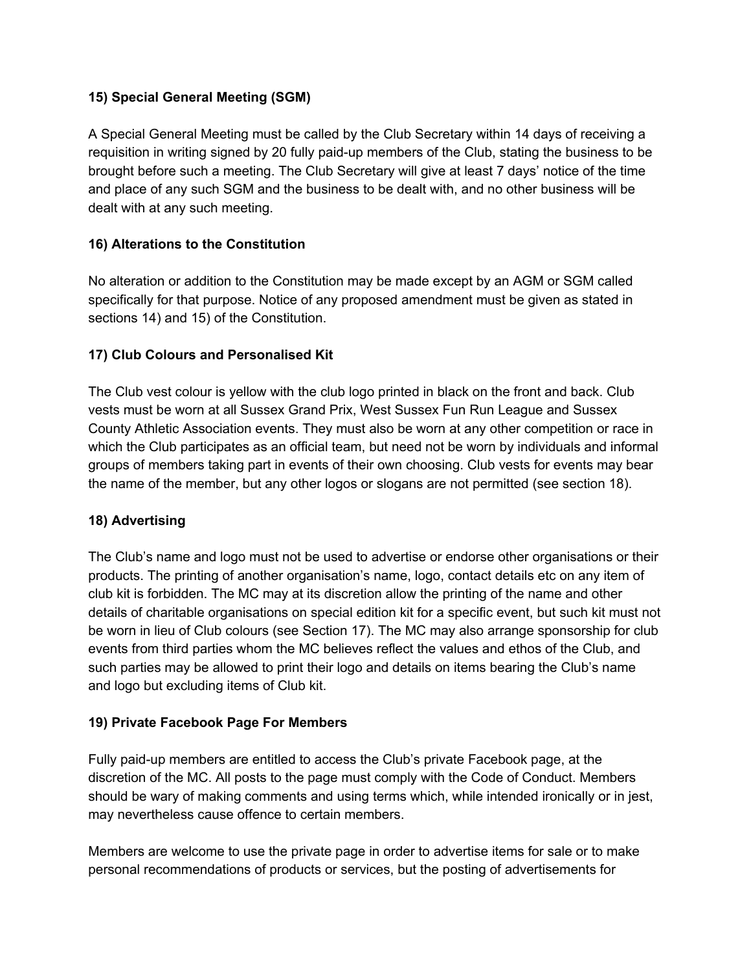### **15) Special General Meeting (SGM)**

A Special General Meeting must be called by the Club Secretary within 14 days of receiving a requisition in writing signed by 20 fully paid-up members of the Club, stating the business to be brought before such a meeting. The Club Secretary will give at least 7 days' notice of the time and place of any such SGM and the business to be dealt with, and no other business will be dealt with at any such meeting.

#### **16) Alterations to the Constitution**

No alteration or addition to the Constitution may be made except by an AGM or SGM called specifically for that purpose. Notice of any proposed amendment must be given as stated in sections 14) and 15) of the Constitution.

#### **17) Club Colours and Personalised Kit**

The Club vest colour is yellow with the club logo printed in black on the front and back. Club vests must be worn at all Sussex Grand Prix, West Sussex Fun Run League and Sussex County Athletic Association events. They must also be worn at any other competition or race in which the Club participates as an official team, but need not be worn by individuals and informal groups of members taking part in events of their own choosing. Club vests for events may bear the name of the member, but any other logos or slogans are not permitted (see section 18).

## **18) Advertising**

The Club's name and logo must not be used to advertise or endorse other organisations or their products. The printing of another organisation's name, logo, contact details etc on any item of club kit is forbidden. The MC may at its discretion allow the printing of the name and other details of charitable organisations on special edition kit for a specific event, but such kit must not be worn in lieu of Club colours (see Section 17). The MC may also arrange sponsorship for club events from third parties whom the MC believes reflect the values and ethos of the Club, and such parties may be allowed to print their logo and details on items bearing the Club's name and logo but excluding items of Club kit.

#### **19) Private Facebook Page For Members**

Fully paid-up members are entitled to access the Club's private Facebook page, at the discretion of the MC. All posts to the page must comply with the Code of Conduct. Members should be wary of making comments and using terms which, while intended ironically or in jest, may nevertheless cause offence to certain members.

Members are welcome to use the private page in order to advertise items for sale or to make personal recommendations of products or services, but the posting of advertisements for